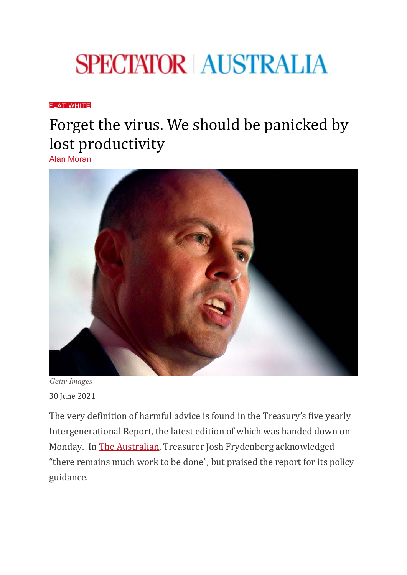## **SPECTATOR AUSTRALIA**

## [FLAT WHITE](https://www.spectator.com.au/category/flat-white/)

## Forget the virus. We should be panicked by lost productivity

[Alan Moran](https://www.spectator.com.au/author/alanmoran/)



*Getty Images* 30 June 2021

The very definition of harmful advice is found in the Treasury's five yearly Intergenerational Report, the latest edition of which was handed down on Monday. In [The Australian,](https://www.theaustralian.com.au/commentary/intergenerational-report-productivity-and-population-keys-to-future-prosperity/news-story/5a0c14262709a26e910e9de602f4b780) Treasurer Josh Frydenberg acknowledged "there remains much work to be done", but praised the report for its policy guidance.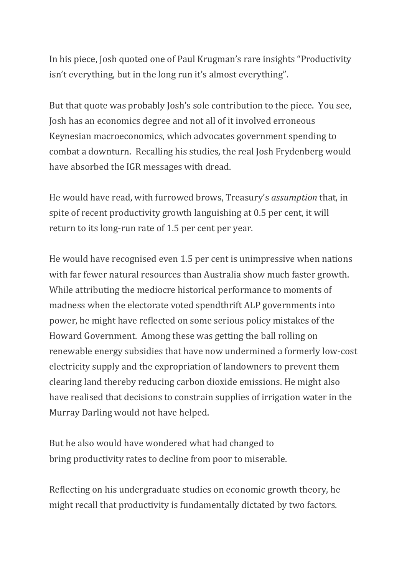In his piece, Josh quoted one of Paul Krugman's rare insights "Productivity isn't everything, but in the long run it's almost everything".

But that quote was probably Josh's sole contribution to the piece. You see, Josh has an economics degree and not all of it involved erroneous Keynesian macroeconomics, which advocates government spending to combat a downturn. Recalling his studies, the real Josh Frydenberg would have absorbed the IGR messages with dread.

He would have read, with furrowed brows, Treasury's *assumption* that, in spite of recent productivity growth languishing at 0.5 per cent, it will return to its long-run rate of 1.5 per cent per year.

He would have recognised even 1.5 per cent is unimpressive when nations with far fewer natural resources than Australia show much faster growth. While attributing the mediocre historical performance to moments of madness when the electorate voted spendthrift ALP governments into power, he might have reflected on some serious policy mistakes of the Howard Government. Among these was getting the ball rolling on renewable energy subsidies that have now undermined a formerly low-cost electricity supply and the expropriation of landowners to prevent them clearing land thereby reducing carbon dioxide emissions. He might also have realised that decisions to constrain supplies of irrigation water in the Murray Darling would not have helped.

But he also would have wondered what had changed to bring productivity rates to decline from poor to miserable.

Reflecting on his undergraduate studies on economic growth theory, he might recall that productivity is fundamentally dictated by two factors.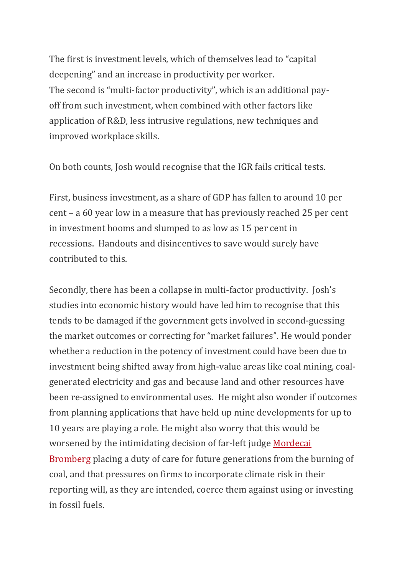The first is investment levels, which of themselves lead to "capital deepening" and an increase in productivity per worker. The second is "multi-factor productivity", which is an additional payoff from such investment, when combined with other factors like application of R&D, less intrusive regulations, new techniques and improved workplace skills.

On both counts, Josh would recognise that the IGR fails critical tests.

First, business investment, as a share of GDP has fallen to around 10 per cent – a 60 year low in a measure that has previously reached 25 per cent in investment booms and slumped to as low as 15 per cent in recessions. Handouts and disincentives to save would surely have contributed to this.

Secondly, there has been a collapse in multi-factor productivity. Josh's studies into economic history would have led him to recognise that this tends to be damaged if the government gets involved in second-guessing the market outcomes or correcting for "market failures". He would ponder whether a reduction in the potency of investment could have been due to investment being shifted away from high-value areas like coal mining, coalgenerated electricity and gas and because land and other resources have been re-assigned to environmental uses. He might also wonder if outcomes from planning applications that have held up mine developments for up to 10 years are playing a role. He might also worry that this would be worsened by the intimidating decision of far-left judge [Mordecai](https://www.abc.net.au/news/2021-05-27/climate-class-action-teenagers-vickery-coal-mine-legal-precedent/100169398)  [Bromberg](https://www.abc.net.au/news/2021-05-27/climate-class-action-teenagers-vickery-coal-mine-legal-precedent/100169398) placing a duty of care for future generations from the burning of coal, and that pressures on firms to incorporate climate risk in their reporting will, as they are intended, coerce them against using or investing in fossil fuels.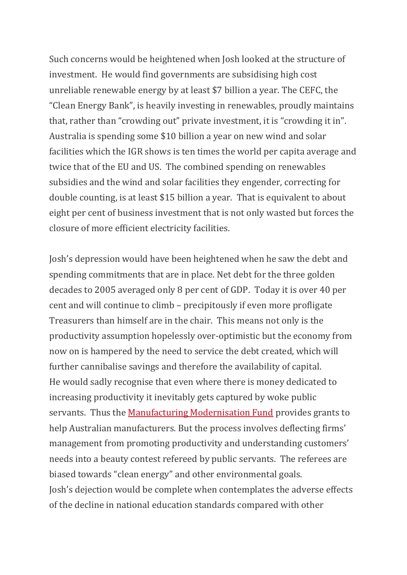Such concerns would be heightened when Josh looked at the structure of investment. He would find governments are subsidising high cost unreliable renewable energy by at least \$7 billion a year. The CEFC, the "Clean Energy Bank", is heavily investing in renewables, proudly maintains that, rather than "crowding out" private investment, it is "crowding it in". Australia is spending some \$10 billion a year on new wind and solar facilities which the IGR shows is ten times the world per capita average and twice that of the EU and US. The combined spending on renewables subsidies and the wind and solar facilities they engender, correcting for double counting, is at least \$15 billion a year. That is equivalent to about eight per cent of business investment that is not only wasted but forces the closure of more efficient electricity facilities.

Josh's depression would have been heightened when he saw the debt and spending commitments that are in place. Net debt for the three golden decades to 2005 averaged only 8 per cent of GDP. Today it is over 40 per cent and will continue to climb – precipitously if even more profligate Treasurers than himself are in the chair. This means not only is the productivity assumption hopelessly over-optimistic but the economy from now on is hampered by the need to service the debt created, which will further cannibalise savings and therefore the availability of capital. He would sadly recognise that even where there is money dedicated to increasing productivity it inevitably gets captured by woke public servants. Thus the [Manufacturing Modernisation Fund](https://www.minister.industry.gov.au/ministers/porter/media-releases/55m-help-australian-manufacturers-modernise-and-grow) provides grants to help Australian manufacturers. But the process involves deflecting firms' management from promoting productivity and understanding customers' needs into a beauty contest refereed by public servants. The referees are biased towards "clean energy" and other environmental goals. Josh's dejection would be complete when contemplates the adverse effects of the decline in national education standards compared with other